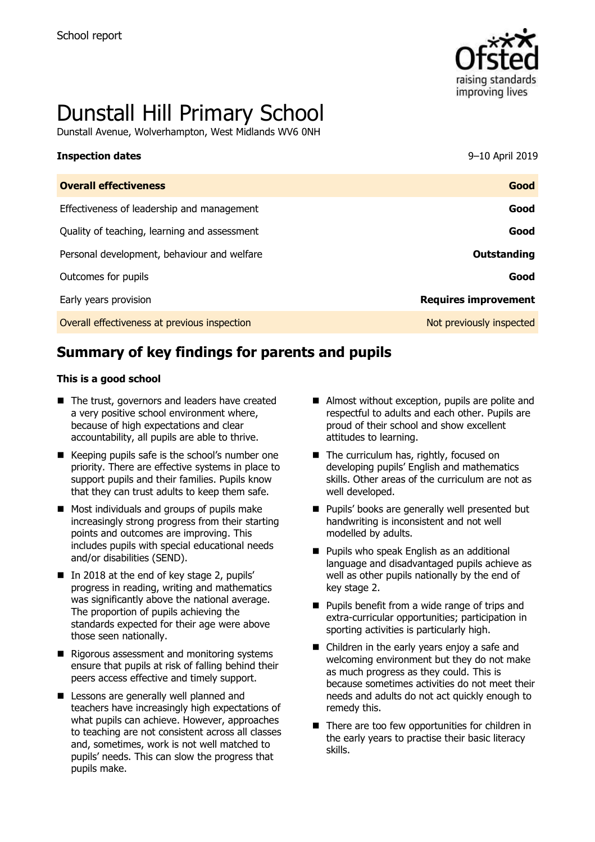

# Dunstall Hill Primary School

Dunstall Avenue, Wolverhampton, West Midlands WV6 0NH

| <b>Inspection dates</b>                      | 9-10 April 2019             |
|----------------------------------------------|-----------------------------|
| <b>Overall effectiveness</b>                 | Good                        |
| Effectiveness of leadership and management   | Good                        |
| Quality of teaching, learning and assessment | Good                        |
| Personal development, behaviour and welfare  | Outstanding                 |
| Outcomes for pupils                          | Good                        |
| Early years provision                        | <b>Requires improvement</b> |
| Overall effectiveness at previous inspection | Not previously inspected    |

# **Summary of key findings for parents and pupils**

#### **This is a good school**

- The trust, governors and leaders have created a very positive school environment where, because of high expectations and clear accountability, all pupils are able to thrive.
- $\blacksquare$  Keeping pupils safe is the school's number one priority. There are effective systems in place to support pupils and their families. Pupils know that they can trust adults to keep them safe.
- **Most individuals and groups of pupils make** increasingly strong progress from their starting points and outcomes are improving. This includes pupils with special educational needs and/or disabilities (SEND).
- In 2018 at the end of key stage 2, pupils' progress in reading, writing and mathematics was significantly above the national average. The proportion of pupils achieving the standards expected for their age were above those seen nationally.
- $\blacksquare$  Rigorous assessment and monitoring systems ensure that pupils at risk of falling behind their peers access effective and timely support.
- **Lessons are generally well planned and** teachers have increasingly high expectations of what pupils can achieve. However, approaches to teaching are not consistent across all classes and, sometimes, work is not well matched to pupils' needs. This can slow the progress that pupils make.
- Almost without exception, pupils are polite and respectful to adults and each other. Pupils are proud of their school and show excellent attitudes to learning.
- The curriculum has, rightly, focused on developing pupils' English and mathematics skills. Other areas of the curriculum are not as well developed.
- **Pupils' books are generally well presented but** handwriting is inconsistent and not well modelled by adults.
- **Pupils who speak English as an additional** language and disadvantaged pupils achieve as well as other pupils nationally by the end of key stage 2.
- **Pupils benefit from a wide range of trips and** extra-curricular opportunities; participation in sporting activities is particularly high.
- Children in the early years enjoy a safe and welcoming environment but they do not make as much progress as they could. This is because sometimes activities do not meet their needs and adults do not act quickly enough to remedy this.
- There are too few opportunities for children in the early years to practise their basic literacy skills.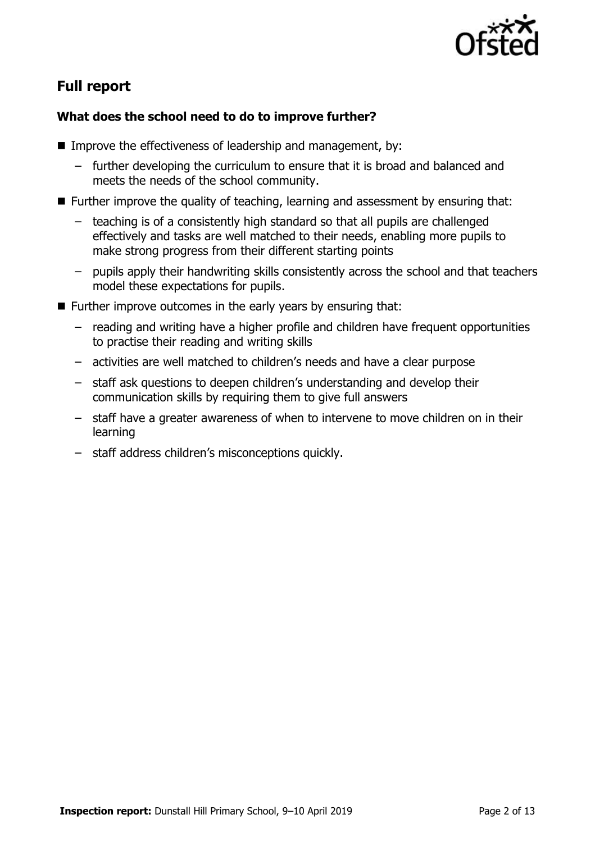

# **Full report**

### **What does the school need to do to improve further?**

- Improve the effectiveness of leadership and management, by:
	- further developing the curriculum to ensure that it is broad and balanced and meets the needs of the school community.
- Further improve the quality of teaching, learning and assessment by ensuring that:
	- teaching is of a consistently high standard so that all pupils are challenged effectively and tasks are well matched to their needs, enabling more pupils to make strong progress from their different starting points
	- pupils apply their handwriting skills consistently across the school and that teachers model these expectations for pupils.
- $\blacksquare$  Further improve outcomes in the early years by ensuring that:
	- reading and writing have a higher profile and children have frequent opportunities to practise their reading and writing skills
	- activities are well matched to children's needs and have a clear purpose
	- staff ask questions to deepen children's understanding and develop their communication skills by requiring them to give full answers
	- staff have a greater awareness of when to intervene to move children on in their learning
	- staff address children's misconceptions quickly.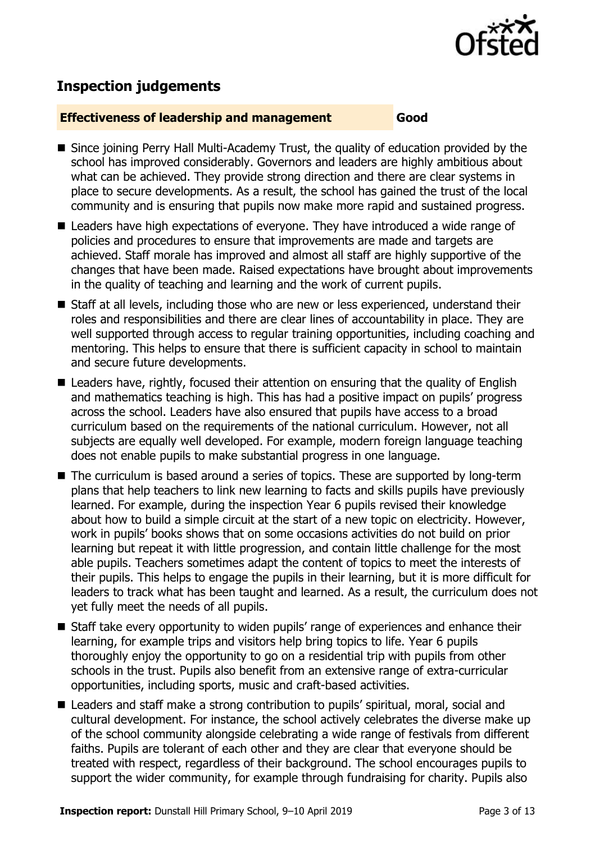

# **Inspection judgements**

#### **Effectiveness of leadership and management Good**

- Since joining Perry Hall Multi-Academy Trust, the quality of education provided by the school has improved considerably. Governors and leaders are highly ambitious about what can be achieved. They provide strong direction and there are clear systems in place to secure developments. As a result, the school has gained the trust of the local community and is ensuring that pupils now make more rapid and sustained progress.
- Leaders have high expectations of everyone. They have introduced a wide range of policies and procedures to ensure that improvements are made and targets are achieved. Staff morale has improved and almost all staff are highly supportive of the changes that have been made. Raised expectations have brought about improvements in the quality of teaching and learning and the work of current pupils.
- Staff at all levels, including those who are new or less experienced, understand their roles and responsibilities and there are clear lines of accountability in place. They are well supported through access to regular training opportunities, including coaching and mentoring. This helps to ensure that there is sufficient capacity in school to maintain and secure future developments.
- Leaders have, rightly, focused their attention on ensuring that the quality of English and mathematics teaching is high. This has had a positive impact on pupils' progress across the school. Leaders have also ensured that pupils have access to a broad curriculum based on the requirements of the national curriculum. However, not all subjects are equally well developed. For example, modern foreign language teaching does not enable pupils to make substantial progress in one language.
- The curriculum is based around a series of topics. These are supported by long-term plans that help teachers to link new learning to facts and skills pupils have previously learned. For example, during the inspection Year 6 pupils revised their knowledge about how to build a simple circuit at the start of a new topic on electricity. However, work in pupils' books shows that on some occasions activities do not build on prior learning but repeat it with little progression, and contain little challenge for the most able pupils. Teachers sometimes adapt the content of topics to meet the interests of their pupils. This helps to engage the pupils in their learning, but it is more difficult for leaders to track what has been taught and learned. As a result, the curriculum does not yet fully meet the needs of all pupils.
- Staff take every opportunity to widen pupils' range of experiences and enhance their learning, for example trips and visitors help bring topics to life. Year 6 pupils thoroughly enjoy the opportunity to go on a residential trip with pupils from other schools in the trust. Pupils also benefit from an extensive range of extra-curricular opportunities, including sports, music and craft-based activities.
- Leaders and staff make a strong contribution to pupils' spiritual, moral, social and cultural development. For instance, the school actively celebrates the diverse make up of the school community alongside celebrating a wide range of festivals from different faiths. Pupils are tolerant of each other and they are clear that everyone should be treated with respect, regardless of their background. The school encourages pupils to support the wider community, for example through fundraising for charity. Pupils also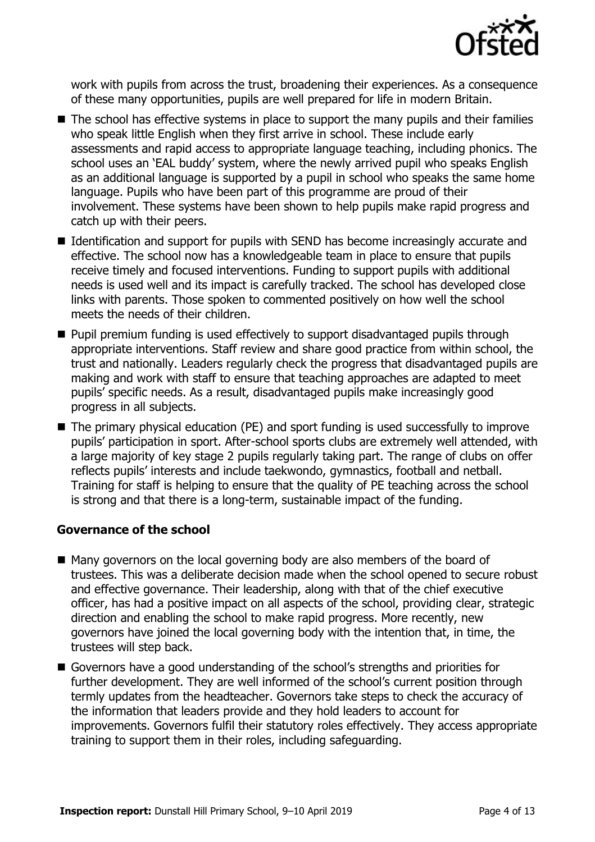

work with pupils from across the trust, broadening their experiences. As a consequence of these many opportunities, pupils are well prepared for life in modern Britain.

- The school has effective systems in place to support the many pupils and their families who speak little English when they first arrive in school. These include early assessments and rapid access to appropriate language teaching, including phonics. The school uses an 'EAL buddy' system, where the newly arrived pupil who speaks English as an additional language is supported by a pupil in school who speaks the same home language. Pupils who have been part of this programme are proud of their involvement. These systems have been shown to help pupils make rapid progress and catch up with their peers.
- Identification and support for pupils with SEND has become increasingly accurate and effective. The school now has a knowledgeable team in place to ensure that pupils receive timely and focused interventions. Funding to support pupils with additional needs is used well and its impact is carefully tracked. The school has developed close links with parents. Those spoken to commented positively on how well the school meets the needs of their children.
- **Pupil premium funding is used effectively to support disadvantaged pupils through** appropriate interventions. Staff review and share good practice from within school, the trust and nationally. Leaders regularly check the progress that disadvantaged pupils are making and work with staff to ensure that teaching approaches are adapted to meet pupils' specific needs. As a result, disadvantaged pupils make increasingly good progress in all subjects.
- The primary physical education (PE) and sport funding is used successfully to improve pupils' participation in sport. After-school sports clubs are extremely well attended, with a large majority of key stage 2 pupils regularly taking part. The range of clubs on offer reflects pupils' interests and include taekwondo, gymnastics, football and netball. Training for staff is helping to ensure that the quality of PE teaching across the school is strong and that there is a long-term, sustainable impact of the funding.

### **Governance of the school**

- Many governors on the local governing body are also members of the board of trustees. This was a deliberate decision made when the school opened to secure robust and effective governance. Their leadership, along with that of the chief executive officer, has had a positive impact on all aspects of the school, providing clear, strategic direction and enabling the school to make rapid progress. More recently, new governors have joined the local governing body with the intention that, in time, the trustees will step back.
- Governors have a good understanding of the school's strengths and priorities for further development. They are well informed of the school's current position through termly updates from the headteacher. Governors take steps to check the accuracy of the information that leaders provide and they hold leaders to account for improvements. Governors fulfil their statutory roles effectively. They access appropriate training to support them in their roles, including safeguarding.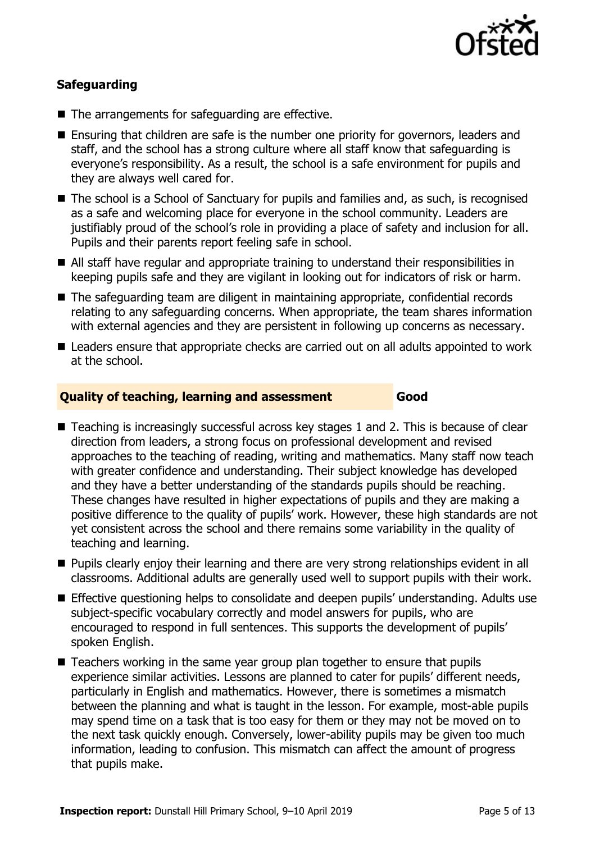

### **Safeguarding**

- The arrangements for safeguarding are effective.
- Ensuring that children are safe is the number one priority for governors, leaders and staff, and the school has a strong culture where all staff know that safeguarding is everyone's responsibility. As a result, the school is a safe environment for pupils and they are always well cared for.
- The school is a School of Sanctuary for pupils and families and, as such, is recognised as a safe and welcoming place for everyone in the school community. Leaders are justifiably proud of the school's role in providing a place of safety and inclusion for all. Pupils and their parents report feeling safe in school.
- All staff have regular and appropriate training to understand their responsibilities in keeping pupils safe and they are vigilant in looking out for indicators of risk or harm.
- The safeguarding team are diligent in maintaining appropriate, confidential records relating to any safeguarding concerns. When appropriate, the team shares information with external agencies and they are persistent in following up concerns as necessary.
- Leaders ensure that appropriate checks are carried out on all adults appointed to work at the school.

#### **Quality of teaching, learning and assessment Good**

- Teaching is increasingly successful across key stages 1 and 2. This is because of clear direction from leaders, a strong focus on professional development and revised approaches to the teaching of reading, writing and mathematics. Many staff now teach with greater confidence and understanding. Their subject knowledge has developed and they have a better understanding of the standards pupils should be reaching. These changes have resulted in higher expectations of pupils and they are making a positive difference to the quality of pupils' work. However, these high standards are not yet consistent across the school and there remains some variability in the quality of teaching and learning.
- **Pupils clearly enjoy their learning and there are very strong relationships evident in all** classrooms. Additional adults are generally used well to support pupils with their work.
- **Effective questioning helps to consolidate and deepen pupils' understanding. Adults use** subject-specific vocabulary correctly and model answers for pupils, who are encouraged to respond in full sentences. This supports the development of pupils' spoken English.
- Teachers working in the same year group plan together to ensure that pupils experience similar activities. Lessons are planned to cater for pupils' different needs, particularly in English and mathematics. However, there is sometimes a mismatch between the planning and what is taught in the lesson. For example, most-able pupils may spend time on a task that is too easy for them or they may not be moved on to the next task quickly enough. Conversely, lower-ability pupils may be given too much information, leading to confusion. This mismatch can affect the amount of progress that pupils make.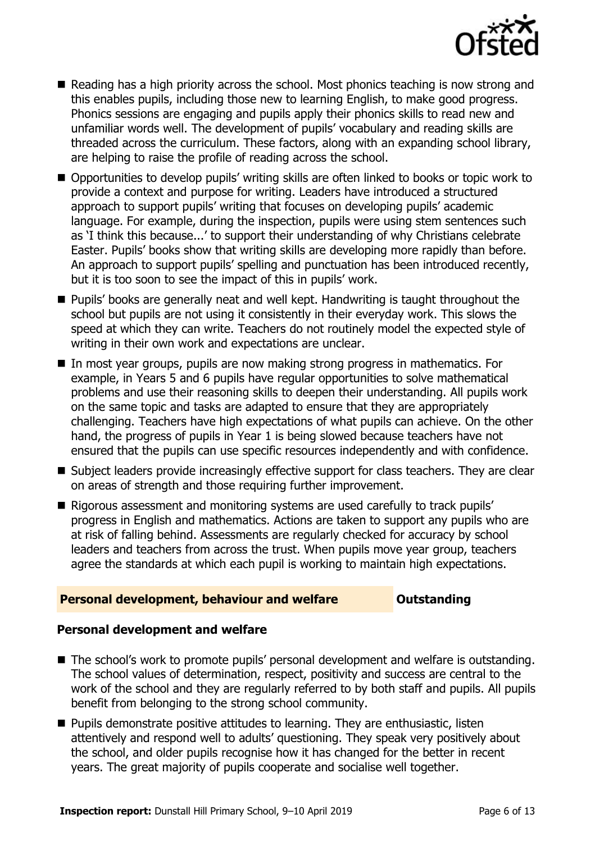

- Reading has a high priority across the school. Most phonics teaching is now strong and this enables pupils, including those new to learning English, to make good progress. Phonics sessions are engaging and pupils apply their phonics skills to read new and unfamiliar words well. The development of pupils' vocabulary and reading skills are threaded across the curriculum. These factors, along with an expanding school library, are helping to raise the profile of reading across the school.
- Opportunities to develop pupils' writing skills are often linked to books or topic work to provide a context and purpose for writing. Leaders have introduced a structured approach to support pupils' writing that focuses on developing pupils' academic language. For example, during the inspection, pupils were using stem sentences such as 'I think this because...' to support their understanding of why Christians celebrate Easter. Pupils' books show that writing skills are developing more rapidly than before. An approach to support pupils' spelling and punctuation has been introduced recently, but it is too soon to see the impact of this in pupils' work.
- **Pupils' books are generally neat and well kept. Handwriting is taught throughout the** school but pupils are not using it consistently in their everyday work. This slows the speed at which they can write. Teachers do not routinely model the expected style of writing in their own work and expectations are unclear.
- In most year groups, pupils are now making strong progress in mathematics. For example, in Years 5 and 6 pupils have regular opportunities to solve mathematical problems and use their reasoning skills to deepen their understanding. All pupils work on the same topic and tasks are adapted to ensure that they are appropriately challenging. Teachers have high expectations of what pupils can achieve. On the other hand, the progress of pupils in Year 1 is being slowed because teachers have not ensured that the pupils can use specific resources independently and with confidence.
- Subject leaders provide increasingly effective support for class teachers. They are clear on areas of strength and those requiring further improvement.
- Rigorous assessment and monitoring systems are used carefully to track pupils' progress in English and mathematics. Actions are taken to support any pupils who are at risk of falling behind. Assessments are regularly checked for accuracy by school leaders and teachers from across the trust. When pupils move year group, teachers agree the standards at which each pupil is working to maintain high expectations.

### **Personal development, behaviour and welfare <b>COUNG COUTS** Outstanding

### **Personal development and welfare**

- The school's work to promote pupils' personal development and welfare is outstanding. The school values of determination, respect, positivity and success are central to the work of the school and they are regularly referred to by both staff and pupils. All pupils benefit from belonging to the strong school community.
- **Pupils demonstrate positive attitudes to learning. They are enthusiastic, listen** attentively and respond well to adults' questioning. They speak very positively about the school, and older pupils recognise how it has changed for the better in recent years. The great majority of pupils cooperate and socialise well together.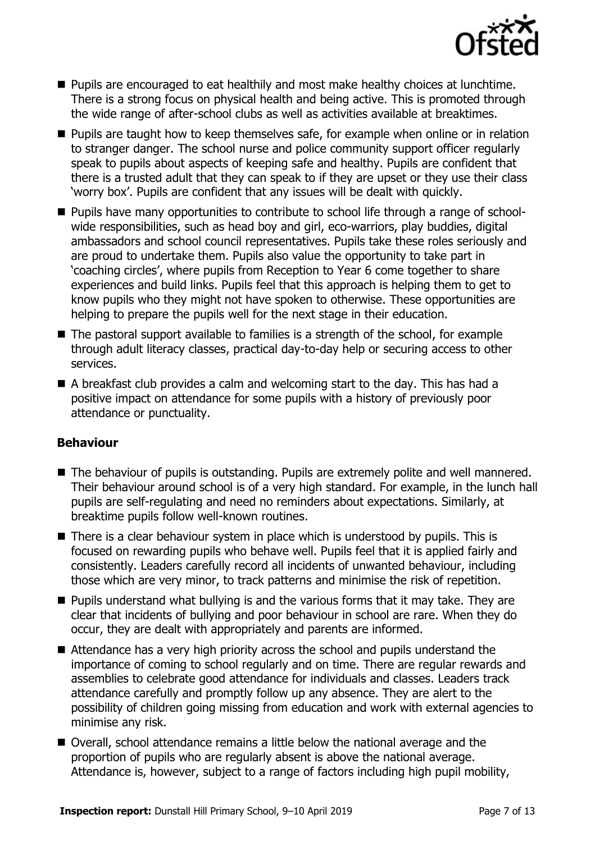

- **Pupils are encouraged to eat healthily and most make healthy choices at lunchtime.** There is a strong focus on physical health and being active. This is promoted through the wide range of after-school clubs as well as activities available at breaktimes.
- **Pupils are taught how to keep themselves safe, for example when online or in relation** to stranger danger. The school nurse and police community support officer regularly speak to pupils about aspects of keeping safe and healthy. Pupils are confident that there is a trusted adult that they can speak to if they are upset or they use their class 'worry box'. Pupils are confident that any issues will be dealt with quickly.
- **Pupils have many opportunities to contribute to school life through a range of school**wide responsibilities, such as head boy and girl, eco-warriors, play buddies, digital ambassadors and school council representatives. Pupils take these roles seriously and are proud to undertake them. Pupils also value the opportunity to take part in 'coaching circles', where pupils from Reception to Year 6 come together to share experiences and build links. Pupils feel that this approach is helping them to get to know pupils who they might not have spoken to otherwise. These opportunities are helping to prepare the pupils well for the next stage in their education.
- $\blacksquare$  The pastoral support available to families is a strength of the school, for example through adult literacy classes, practical day-to-day help or securing access to other services.
- A breakfast club provides a calm and welcoming start to the day. This has had a positive impact on attendance for some pupils with a history of previously poor attendance or punctuality.

### **Behaviour**

- The behaviour of pupils is outstanding. Pupils are extremely polite and well mannered. Their behaviour around school is of a very high standard. For example, in the lunch hall pupils are self-regulating and need no reminders about expectations. Similarly, at breaktime pupils follow well-known routines.
- There is a clear behaviour system in place which is understood by pupils. This is focused on rewarding pupils who behave well. Pupils feel that it is applied fairly and consistently. Leaders carefully record all incidents of unwanted behaviour, including those which are very minor, to track patterns and minimise the risk of repetition.
- **Pupils understand what bullying is and the various forms that it may take. They are** clear that incidents of bullying and poor behaviour in school are rare. When they do occur, they are dealt with appropriately and parents are informed.
- Attendance has a very high priority across the school and pupils understand the importance of coming to school regularly and on time. There are regular rewards and assemblies to celebrate good attendance for individuals and classes. Leaders track attendance carefully and promptly follow up any absence. They are alert to the possibility of children going missing from education and work with external agencies to minimise any risk.
- Overall, school attendance remains a little below the national average and the proportion of pupils who are regularly absent is above the national average. Attendance is, however, subject to a range of factors including high pupil mobility,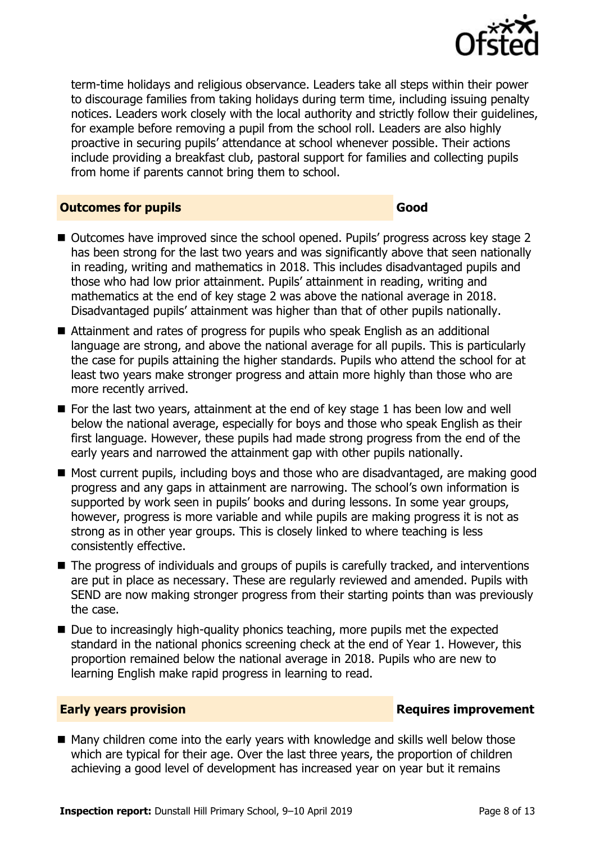

term-time holidays and religious observance. Leaders take all steps within their power to discourage families from taking holidays during term time, including issuing penalty notices. Leaders work closely with the local authority and strictly follow their guidelines, for example before removing a pupil from the school roll. Leaders are also highly proactive in securing pupils' attendance at school whenever possible. Their actions include providing a breakfast club, pastoral support for families and collecting pupils from home if parents cannot bring them to school.

#### **Outcomes for pupils Good**

- Outcomes have improved since the school opened. Pupils' progress across key stage 2 has been strong for the last two years and was significantly above that seen nationally in reading, writing and mathematics in 2018. This includes disadvantaged pupils and those who had low prior attainment. Pupils' attainment in reading, writing and mathematics at the end of key stage 2 was above the national average in 2018. Disadvantaged pupils' attainment was higher than that of other pupils nationally.
- Attainment and rates of progress for pupils who speak English as an additional language are strong, and above the national average for all pupils. This is particularly the case for pupils attaining the higher standards. Pupils who attend the school for at least two years make stronger progress and attain more highly than those who are more recently arrived.
- $\blacksquare$  For the last two years, attainment at the end of key stage 1 has been low and well below the national average, especially for boys and those who speak English as their first language. However, these pupils had made strong progress from the end of the early years and narrowed the attainment gap with other pupils nationally.
- Most current pupils, including boys and those who are disadvantaged, are making good progress and any gaps in attainment are narrowing. The school's own information is supported by work seen in pupils' books and during lessons. In some year groups, however, progress is more variable and while pupils are making progress it is not as strong as in other year groups. This is closely linked to where teaching is less consistently effective.
- The progress of individuals and groups of pupils is carefully tracked, and interventions are put in place as necessary. These are regularly reviewed and amended. Pupils with SEND are now making stronger progress from their starting points than was previously the case.
- $\blacksquare$  Due to increasingly high-quality phonics teaching, more pupils met the expected standard in the national phonics screening check at the end of Year 1. However, this proportion remained below the national average in 2018. Pupils who are new to learning English make rapid progress in learning to read.

### **Early years provision Requires improvement**

■ Many children come into the early years with knowledge and skills well below those which are typical for their age. Over the last three years, the proportion of children achieving a good level of development has increased year on year but it remains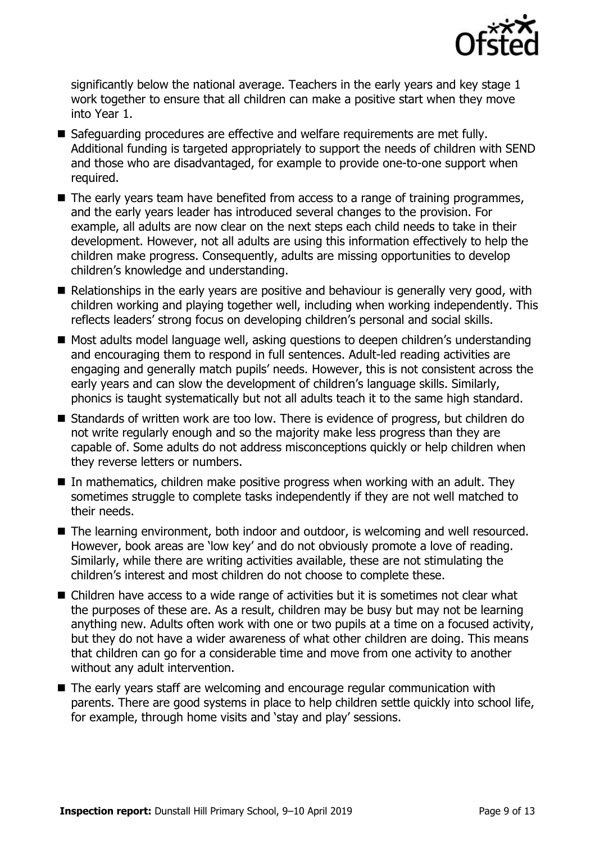

significantly below the national average. Teachers in the early years and key stage 1 work together to ensure that all children can make a positive start when they move into Year 1.

- Safeguarding procedures are effective and welfare reguirements are met fully. Additional funding is targeted appropriately to support the needs of children with SEND and those who are disadvantaged, for example to provide one-to-one support when required.
- The early years team have benefited from access to a range of training programmes, and the early years leader has introduced several changes to the provision. For example, all adults are now clear on the next steps each child needs to take in their development. However, not all adults are using this information effectively to help the children make progress. Consequently, adults are missing opportunities to develop children's knowledge and understanding.
- Relationships in the early years are positive and behaviour is generally very good, with children working and playing together well, including when working independently. This reflects leaders' strong focus on developing children's personal and social skills.
- Most adults model language well, asking questions to deepen children's understanding and encouraging them to respond in full sentences. Adult-led reading activities are engaging and generally match pupils' needs. However, this is not consistent across the early years and can slow the development of children's language skills. Similarly, phonics is taught systematically but not all adults teach it to the same high standard.
- Standards of written work are too low. There is evidence of progress, but children do not write regularly enough and so the majority make less progress than they are capable of. Some adults do not address misconceptions quickly or help children when they reverse letters or numbers.
- In mathematics, children make positive progress when working with an adult. They sometimes struggle to complete tasks independently if they are not well matched to their needs.
- The learning environment, both indoor and outdoor, is welcoming and well resourced. However, book areas are 'low key' and do not obviously promote a love of reading. Similarly, while there are writing activities available, these are not stimulating the children's interest and most children do not choose to complete these.
- Children have access to a wide range of activities but it is sometimes not clear what the purposes of these are. As a result, children may be busy but may not be learning anything new. Adults often work with one or two pupils at a time on a focused activity, but they do not have a wider awareness of what other children are doing. This means that children can go for a considerable time and move from one activity to another without any adult intervention.
- The early years staff are welcoming and encourage regular communication with parents. There are good systems in place to help children settle quickly into school life, for example, through home visits and 'stay and play' sessions.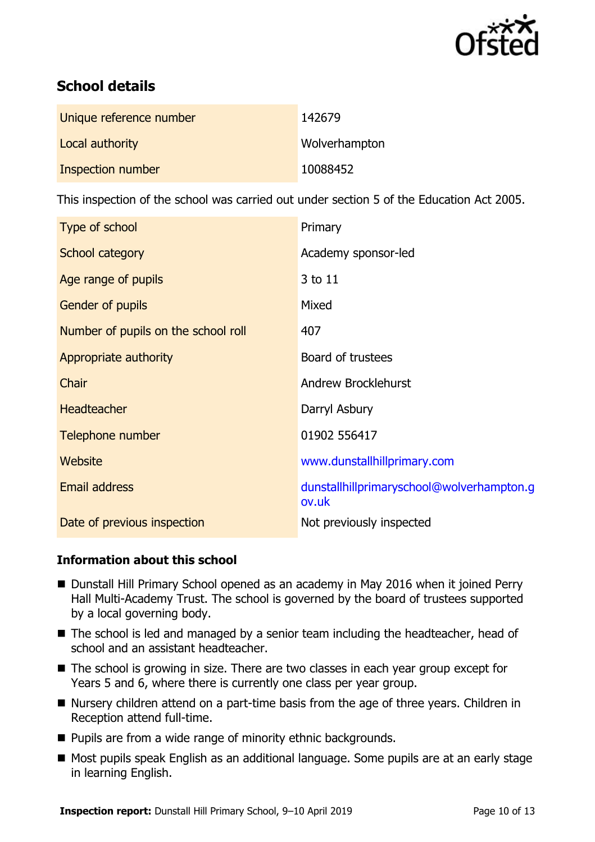

# **School details**

| Unique reference number | 142679        |
|-------------------------|---------------|
| Local authority         | Wolverhampton |
| Inspection number       | 10088452      |

This inspection of the school was carried out under section 5 of the Education Act 2005.

| Type of school                      | Primary                                            |
|-------------------------------------|----------------------------------------------------|
| School category                     | Academy sponsor-led                                |
| Age range of pupils                 | 3 to 11                                            |
| Gender of pupils                    | Mixed                                              |
| Number of pupils on the school roll | 407                                                |
| Appropriate authority               | Board of trustees                                  |
| Chair                               | Andrew Brocklehurst                                |
| <b>Headteacher</b>                  | Darryl Asbury                                      |
| Telephone number                    | 01902 556417                                       |
| Website                             | www.dunstallhillprimary.com                        |
| <b>Email address</b>                | dunstallhillprimaryschool@wolverhampton.g<br>ov.uk |
| Date of previous inspection         | Not previously inspected                           |

### **Information about this school**

- Dunstall Hill Primary School opened as an academy in May 2016 when it joined Perry Hall Multi-Academy Trust. The school is governed by the board of trustees supported by a local governing body.
- The school is led and managed by a senior team including the headteacher, head of school and an assistant headteacher.
- The school is growing in size. There are two classes in each year group except for Years 5 and 6, where there is currently one class per year group.
- Nursery children attend on a part-time basis from the age of three years. Children in Reception attend full-time.
- Pupils are from a wide range of minority ethnic backgrounds.
- Most pupils speak English as an additional language. Some pupils are at an early stage in learning English.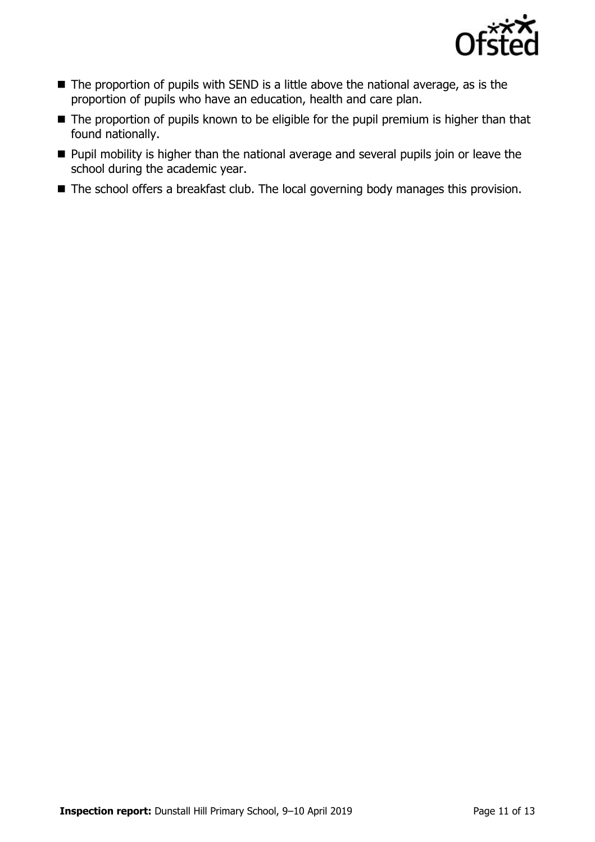

- The proportion of pupils with SEND is a little above the national average, as is the proportion of pupils who have an education, health and care plan.
- The proportion of pupils known to be eligible for the pupil premium is higher than that found nationally.
- **Pupil mobility is higher than the national average and several pupils join or leave the** school during the academic year.
- The school offers a breakfast club. The local governing body manages this provision.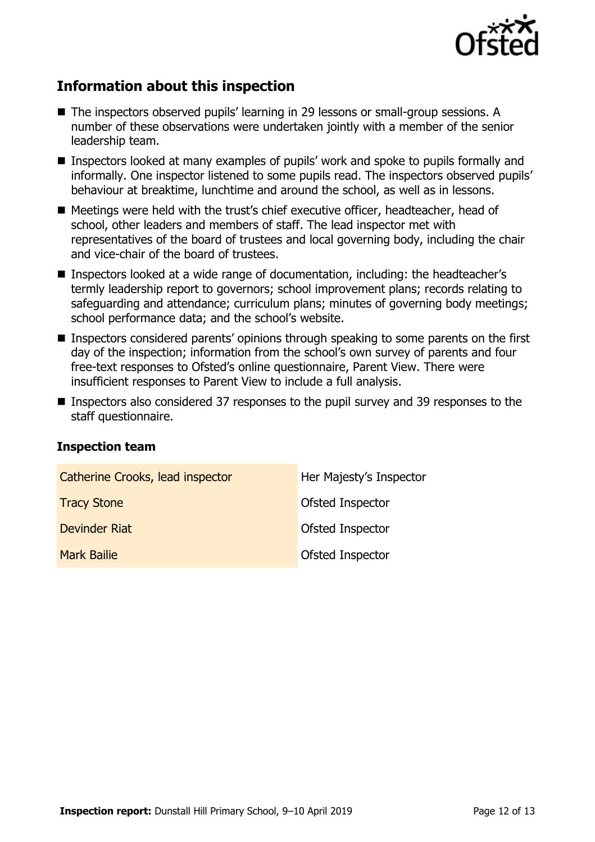

# **Information about this inspection**

- The inspectors observed pupils' learning in 29 lessons or small-group sessions. A number of these observations were undertaken jointly with a member of the senior leadership team.
- Inspectors looked at many examples of pupils' work and spoke to pupils formally and informally. One inspector listened to some pupils read. The inspectors observed pupils' behaviour at breaktime, lunchtime and around the school, as well as in lessons.
- Meetings were held with the trust's chief executive officer, headteacher, head of school, other leaders and members of staff. The lead inspector met with representatives of the board of trustees and local governing body, including the chair and vice-chair of the board of trustees.
- Inspectors looked at a wide range of documentation, including: the headteacher's termly leadership report to governors; school improvement plans; records relating to safeguarding and attendance; curriculum plans; minutes of governing body meetings; school performance data; and the school's website.
- Inspectors considered parents' opinions through speaking to some parents on the first day of the inspection; information from the school's own survey of parents and four free-text responses to Ofsted's online questionnaire, Parent View. There were insufficient responses to Parent View to include a full analysis.
- Inspectors also considered 37 responses to the pupil survey and 39 responses to the staff questionnaire.

#### **Inspection team**

| Catherine Crooks, lead inspector | Her Majesty's Inspector |
|----------------------------------|-------------------------|
| <b>Tracy Stone</b>               | Ofsted Inspector        |
| Devinder Riat                    | Ofsted Inspector        |
| <b>Mark Bailie</b>               | Ofsted Inspector        |